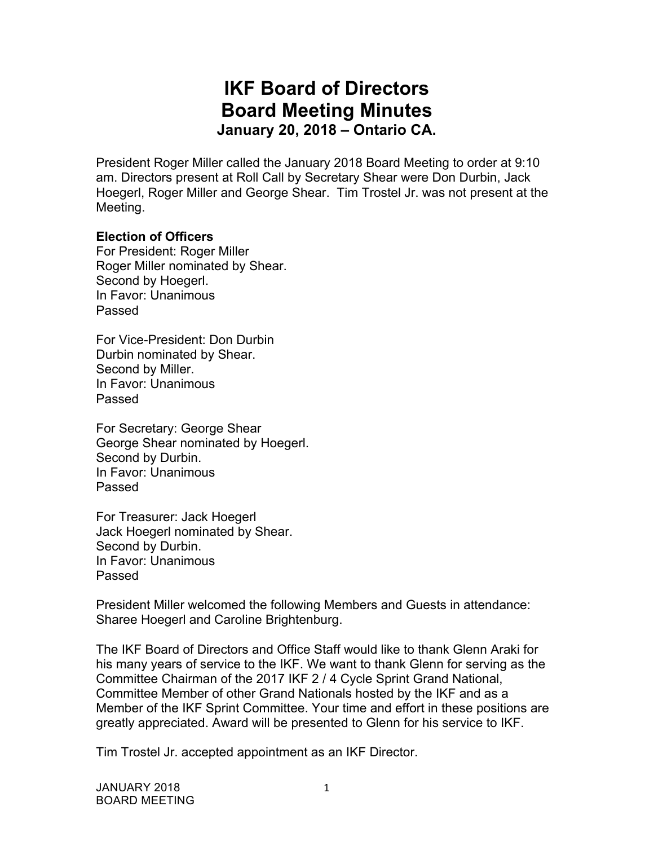# **IKF Board of Directors Board Meeting Minutes January 20, 2018 – Ontario CA.**

President Roger Miller called the January 2018 Board Meeting to order at 9:10 am. Directors present at Roll Call by Secretary Shear were Don Durbin, Jack Hoegerl, Roger Miller and George Shear. Tim Trostel Jr. was not present at the Meeting.

## **Election of Officers**

For President: Roger Miller Roger Miller nominated by Shear. Second by Hoegerl. In Favor: Unanimous Passed

For Vice-President: Don Durbin Durbin nominated by Shear. Second by Miller. In Favor: Unanimous Passed

For Secretary: George Shear George Shear nominated by Hoegerl. Second by Durbin. In Favor: Unanimous Passed

For Treasurer: Jack Hoegerl Jack Hoegerl nominated by Shear. Second by Durbin. In Favor: Unanimous Passed

President Miller welcomed the following Members and Guests in attendance: Sharee Hoegerl and Caroline Brightenburg.

The IKF Board of Directors and Office Staff would like to thank Glenn Araki for his many years of service to the IKF. We want to thank Glenn for serving as the Committee Chairman of the 2017 IKF 2 / 4 Cycle Sprint Grand National, Committee Member of other Grand Nationals hosted by the IKF and as a Member of the IKF Sprint Committee. Your time and effort in these positions are greatly appreciated. Award will be presented to Glenn for his service to IKF.

Tim Trostel Jr. accepted appointment as an IKF Director.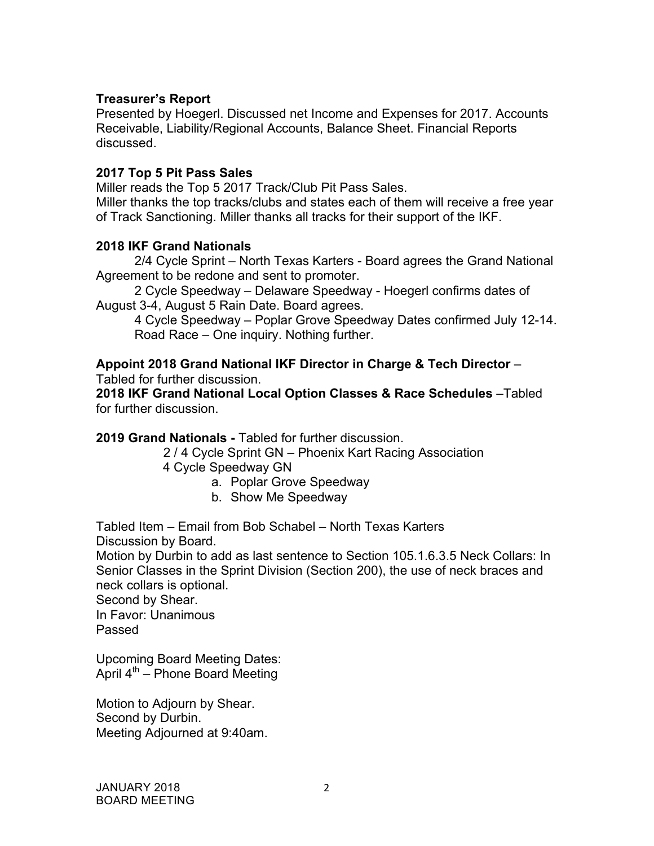# **Treasurer's Report**

Presented by Hoegerl. Discussed net Income and Expenses for 2017. Accounts Receivable, Liability/Regional Accounts, Balance Sheet. Financial Reports discussed.

# **2017 Top 5 Pit Pass Sales**

Miller reads the Top 5 2017 Track/Club Pit Pass Sales. Miller thanks the top tracks/clubs and states each of them will receive a free year of Track Sanctioning. Miller thanks all tracks for their support of the IKF.

## **2018 IKF Grand Nationals**

2/4 Cycle Sprint – North Texas Karters - Board agrees the Grand National Agreement to be redone and sent to promoter.

2 Cycle Speedway – Delaware Speedway - Hoegerl confirms dates of August 3-4, August 5 Rain Date. Board agrees.

4 Cycle Speedway – Poplar Grove Speedway Dates confirmed July 12-14. Road Race – One inquiry. Nothing further.

**Appoint 2018 Grand National IKF Director in Charge & Tech Director** – Tabled for further discussion.

**2018 IKF Grand National Local Option Classes & Race Schedules** –Tabled for further discussion.

**2019 Grand Nationals -** Tabled for further discussion.

2 / 4 Cycle Sprint GN – Phoenix Kart Racing Association

- 4 Cycle Speedway GN
	- a. Poplar Grove Speedway
	- b. Show Me Speedway

Tabled Item – Email from Bob Schabel – North Texas Karters Discussion by Board.

Motion by Durbin to add as last sentence to Section 105.1.6.3.5 Neck Collars: In Senior Classes in the Sprint Division (Section 200), the use of neck braces and neck collars is optional.

Second by Shear.

In Favor: Unanimous Passed

Upcoming Board Meeting Dates: April  $4^{th}$  – Phone Board Meeting

Motion to Adjourn by Shear. Second by Durbin. Meeting Adjourned at 9:40am.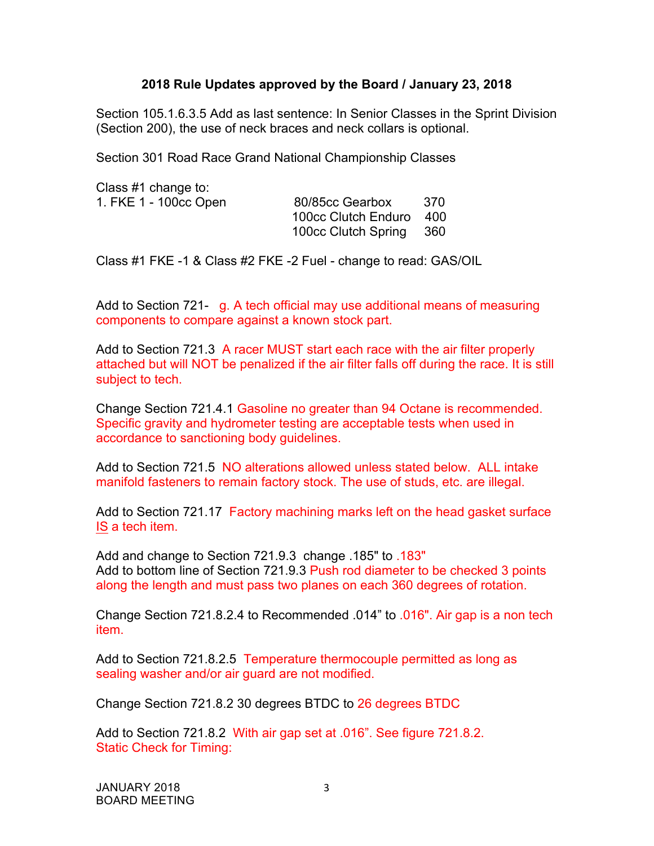## **2018 Rule Updates approved by the Board / January 23, 2018**

Section 105.1.6.3.5 Add as last sentence: In Senior Classes in the Sprint Division (Section 200), the use of neck braces and neck collars is optional.

Section 301 Road Race Grand National Championship Classes

Class #1 change to:

1. FKE 1 - 100cc Open 80/85cc Gearbox 370 100cc Clutch Enduro 400 100cc Clutch Spring 360

Class #1 FKE -1 & Class #2 FKE -2 Fuel - change to read: GAS/OIL

Add to Section 721- g. A tech official may use additional means of measuring components to compare against a known stock part.

Add to Section 721.3 A racer MUST start each race with the air filter properly attached but will NOT be penalized if the air filter falls off during the race. It is still subject to tech.

Change Section 721.4.1 Gasoline no greater than 94 Octane is recommended. Specific gravity and hydrometer testing are acceptable tests when used in accordance to sanctioning body guidelines.

Add to Section 721.5 NO alterations allowed unless stated below. ALL intake manifold fasteners to remain factory stock. The use of studs, etc. are illegal.

Add to Section 721.17 Factory machining marks left on the head gasket surface IS a tech item.

Add and change to Section 721.9.3 change .185" to .183" Add to bottom line of Section 721.9.3 Push rod diameter to be checked 3 points along the length and must pass two planes on each 360 degrees of rotation.

Change Section 721.8.2.4 to Recommended .014" to .016". Air gap is a non tech item.

Add to Section 721.8.2.5 Temperature thermocouple permitted as long as sealing washer and/or air guard are not modified.

Change Section 721.8.2 30 degrees BTDC to 26 degrees BTDC

Add to Section 721.8.2 With air gap set at .016". See figure 721.8.2. Static Check for Timing:

JANUARY 2018 BOARD MEETING